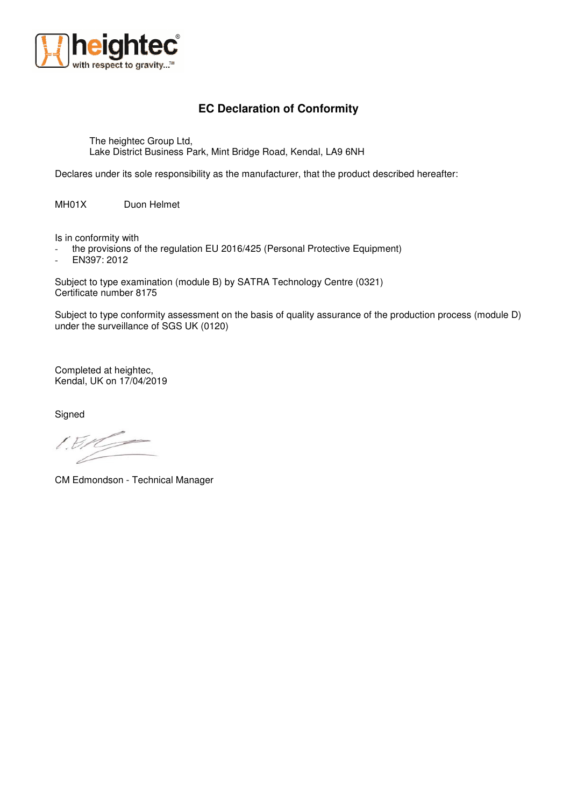

## **EC Declaration of Conformity**

The heightec Group Ltd, Lake District Business Park, Mint Bridge Road, Kendal, LA9 6NH

Declares under its sole responsibility as the manufacturer, that the product described hereafter:

MH01X Duon Helmet

Is in conformity with

- the provisions of the regulation EU 2016/425 (Personal Protective Equipment)

EN397: 2012

Subject to type examination (module B) by SATRA Technology Centre (0321) Certificate number 8175

Subject to type conformity assessment on the basis of quality assurance of the production process (module D) under the surveillance of SGS UK (0120)

Completed at heightec, Kendal, UK on 17/04/2019

**Signed** 

 $/B$ 

CM Edmondson - Technical Manager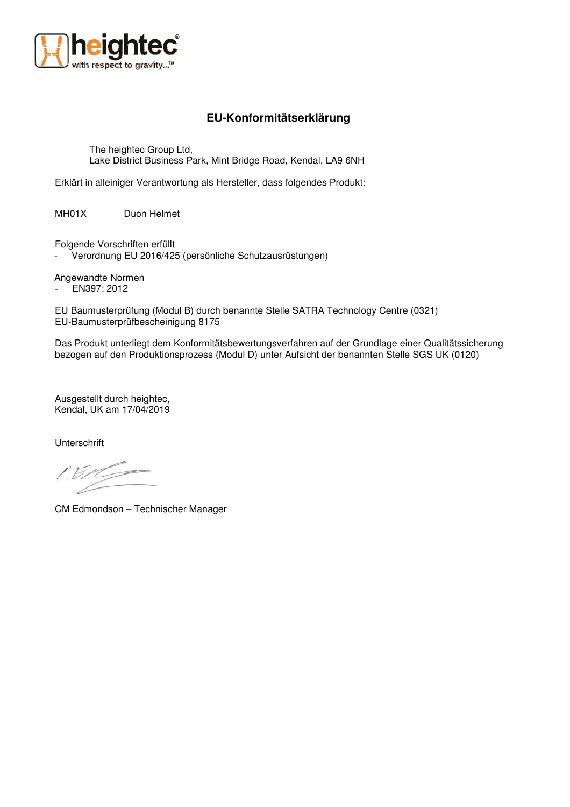

## **EU-Konformitätserklärung**

The heightec Group Ltd, Lake District Business Park, Mint Bridge Road, Kendal, LA9 6NH

Erklärt in alleiniger Verantwortung als Hersteller, dass folgendes Produkt:

MH01X Duon Helmet

Folgende Vorschriften erfüllt

Verordnung EU 2016/425 (persönliche Schutzausrüstungen)

Angewandte Normen

- EN397: 2012

EU Baumusterprüfung (Modul B) durch benannte Stelle SATRA Technology Centre (0321) EU-Baumusterprüfbescheinigung 8175

Das Produkt unterliegt dem Konformitätsbewertungsverfahren auf der Grundlage einer Qualitätssicherung bezogen auf den Produktionsprozess (Modul D) unter Aufsicht der benannten Stelle SGS UK (0120)

Ausgestellt durch heightec, Kendal, UK am 17/04/2019

Unterschrift

 $150$ 

CM Edmondson – Technischer Manager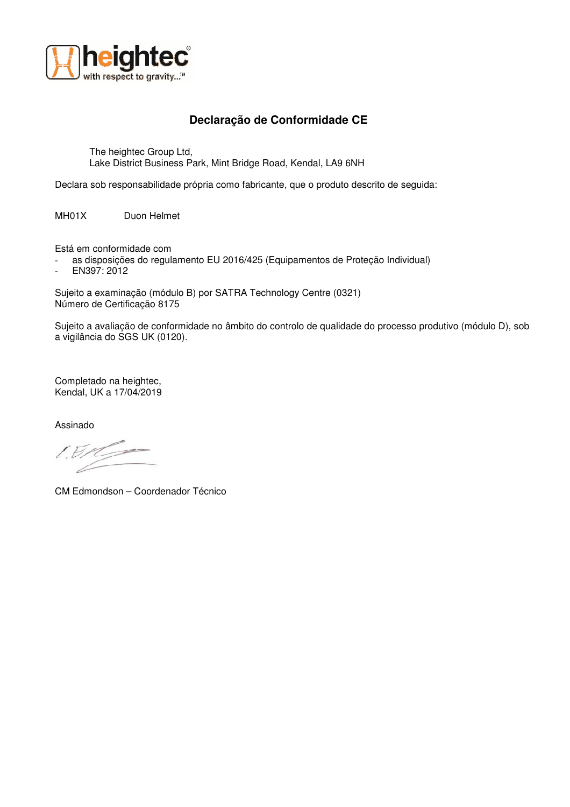

## **Declaração de Conformidade CE**

The heightec Group Ltd, Lake District Business Park, Mint Bridge Road, Kendal, LA9 6NH

Declara sob responsabilidade própria como fabricante, que o produto descrito de seguida:

MH01X Duon Helmet

Está em conformidade com

- as disposições do regulamento EU 2016/425 (Equipamentos de Proteção Individual)
- EN397: 2012

Sujeito a examinação (módulo B) por SATRA Technology Centre (0321) Número de Certificação 8175

Sujeito a avaliação de conformidade no âmbito do controlo de qualidade do processo produtivo (módulo D), sob a vigilância do SGS UK (0120).

Completado na heightec, Kendal, UK a 17/04/2019

Assinado

CM Edmondson – Coordenador Técnico